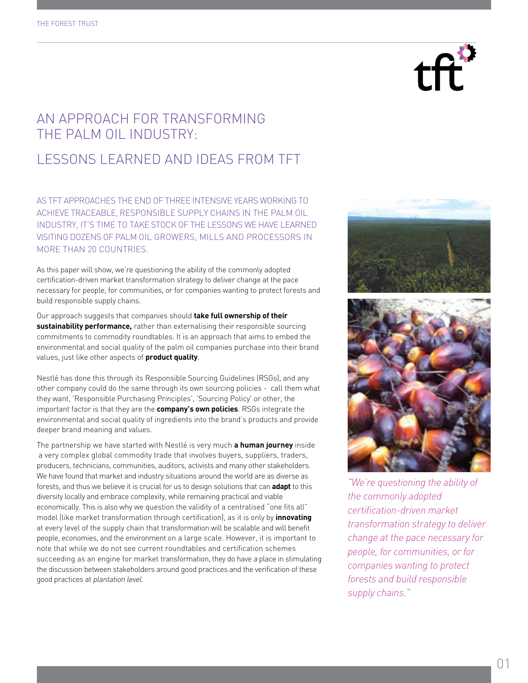

# An approach for transforming the palm oil industry:

# Lessons learned and ideas from TFT

as tft approaches the end of three intensive years working to achieve traceable , responsible supply chains in the palm oil INDUSTRY, IT'S TIME TO TAKE STOCK OF THE LESSONS WE HAVE LEARNED VISITING DOZENS OF PALM OIL GROWERS, MILLS AND PROCESSORS IN more than 20 countries.

As this paper will show, we're questioning the ability of the commonly adopted certification-driven market transformation strategy to deliver change at the pace necessary for people, for communities, or for companies wanting to protect forests and build responsible supply chains.

Our approach suggests that companies should **take full ownership of their sustainability performance,** rather than externalising their responsible sourcing commitments to commodity roundtables. It is an approach that aims to embed the environmental and social quality of the palm oil companies purchase into their brand values, just like other aspects of **product quality**.

Nestlé has done this through its Responsible Sourcing Guidelines (RSGs), and any other company could do the same through its own sourcing policies - call them what they want, 'Responsible Purchasing Principles', 'Sourcing Policy' or other, the important factor is that they are the **company's own policies**. RSGs integrate the environmental and social quality of ingredients into the brand's products and provide deeper brand meaning and values.

The partnership we have started with Nestlé is very much **a human journey** inside a very complex global commodity trade that involves buyers, suppliers, traders, producers, technicians, communities, auditors, activists and many other stakeholders. We have found that market and industry situations around the world are as diverse as forests, and thus we believe it is crucial for us to design solutions that can **adapt** to this diversity locally and embrace complexity, while remaining practical and viable economically. This is also why we question the validity of a centralised "one fits all" model (like market transformation through certification), as it is only by **innovating**  at every level of the supply chain that transformation will be scalable and will benefit people, economies, and the environment on a large scale. However, it is important to note that while we do not see current roundtables and certification schemes succeeding as an engine for market transformation, they do have a place in stimulating the discussion between stakeholders around good practices and the verification of these good practices at plantation level.





*"We're questioning the ability of the commonly adopted certification-driven market transformation strategy to deliver change at the pace necessary for people, for communities, or for companies wanting to protect forests and build responsible supply chains."*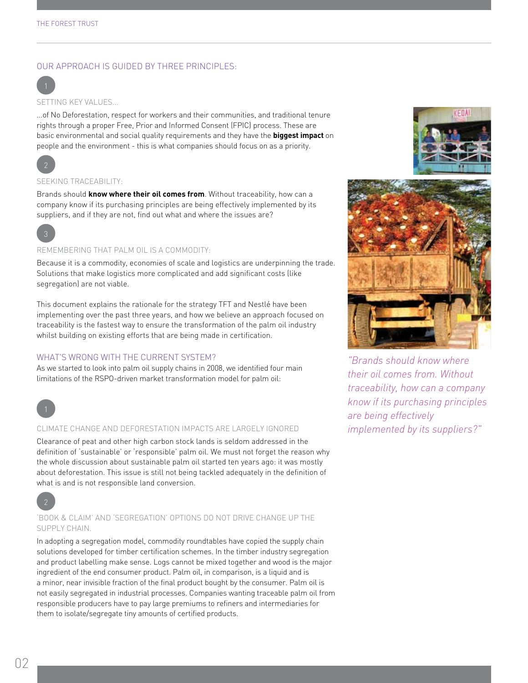# Our approach is guided by three principles:



SETTING KEY VALUES...

...of No Deforestation, respect for workers and their communities, and traditional tenure rights through a proper Free, Prior and Informed Consent (FPIC) process. These are basic environmental and social quality requirements and they have the **biggest impact** on people and the environment - this is what companies should focus on as a priority.



## SEEKING TRACEABILITY:

Brands should **know where their oil comes from**. Without traceability, how can a company know if its purchasing principles are being effectively implemented by its suppliers, and if they are not, find out what and where the issues are?



## Remembering that palm oil is a commodity:

Because it is a commodity, economies of scale and logistics are underpinning the trade. Solutions that make logistics more complicated and add significant costs (like segregation) are not viable.

This document explains the rationale for the strategy TFT and Nestlé have been implementing over the past three years, and how we believe an approach focused on traceability is the fastest way to ensure the transformation of the palm oil industry whilst building on existing efforts that are being made in certification.

# WHAT'S WRONG WITH THE CURRENT SYSTEM?

As we started to look into palm oil supply chains in 2008, we identified four main limitations of the RSPO-driven market transformation model for palm oil:



#### Climate change and deforestation impacts are largely ignored

Clearance of peat and other high carbon stock lands is seldom addressed in the definition of 'sustainable' or 'responsible' palm oil. We must not forget the reason why the whole discussion about sustainable palm oil started ten years ago: it was mostly about deforestation. This issue is still not being tackled adequately in the definition of what is and is not responsible land conversion.



# 'Book & Claim' and 'Segregation' options do not drive change up the supply chain.

In adopting a segregation model, commodity roundtables have copied the supply chain solutions developed for timber certification schemes. In the timber industry segregation and product labelling make sense. Logs cannot be mixed together and wood is the major ingredient of the end consumer product. Palm oil, in comparison, is a liquid and is a minor, near invisible fraction of the final product bought by the consumer. Palm oil is not easily segregated in industrial processes. Companies wanting traceable palm oil from responsible producers have to pay large premiums to refiners and intermediaries for them to isolate/segregate tiny amounts of certified products.





*"Brands should know where their oil comes from. Without traceability, how can a company know if its purchasing principles are being effectively implemented by its suppliers?"*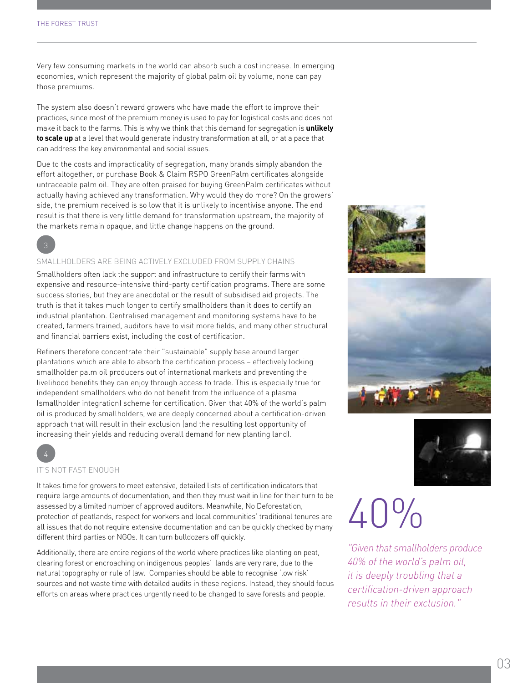Very few consuming markets in the world can absorb such a cost increase. In emerging economies, which represent the majority of global palm oil by volume, none can pay those premiums.

The system also doesn't reward growers who have made the effort to improve their practices, since most of the premium money is used to pay for logistical costs and does not make it back to the farms. This is why we think that this demand for segregation is **unlikely to scale up** at a level that would generate industry transformation at all, or at a pace that can address the key environmental and social issues.

Due to the costs and impracticality of segregation, many brands simply abandon the effort altogether, or purchase Book & Claim RSPO GreenPalm certificates alongside untraceable palm oil. They are often praised for buying GreenPalm certificates without actually having achieved any transformation. Why would they do more? On the growers' side, the premium received is so low that it is unlikely to incentivise anyone. The end result is that there is very little demand for transformation upstream, the majority of the markets remain opaque, and little change happens on the ground.

3

# Smallholders are being actively excluded from supply chains

Smallholders often lack the support and infrastructure to certify their farms with expensive and resource-intensive third-party certification programs. There are some success stories, but they are anecdotal or the result of subsidised aid projects. The truth is that it takes much longer to certify smallholders than it does to certify an industrial plantation. Centralised management and monitoring systems have to be created, farmers trained, auditors have to visit more fields, and many other structural and financial barriers exist, including the cost of certification.

Refiners therefore concentrate their "sustainable" supply base around larger plantations which are able to absorb the certification process – effectively locking smallholder palm oil producers out of international markets and preventing the livelihood benefits they can enjoy through access to trade. This is especially true for independent smallholders who do not benefit from the influence of a plasma (smallholder integration) scheme for certification. Given that 40% of the world's palm oil is produced by smallholders, we are deeply concerned about a certification-driven approach that will result in their exclusion (and the resulting lost opportunity of increasing their yields and reducing overall demand for new planting land).







## It's not fast enough

It takes time for growers to meet extensive, detailed lists of certification indicators that require large amounts of documentation, and then they must wait in line for their turn to be assessed by a limited number of approved auditors. Meanwhile, No Deforestation, protection of peatlands, respect for workers and local communities' traditional tenures are all issues that do not require extensive documentation and can be quickly checked by many different third parties or NGOs. It can turn bulldozers off quickly.

Additionally, there are entire regions of the world where practices like planting on peat, clearing forest or encroaching on indigenous peoples' lands are very rare, due to the natural topography or rule of law. Companies should be able to recognise 'low risk' sources and not waste time with detailed audits in these regions. Instead, they should focus efforts on areas where practices urgently need to be changed to save forests and people.

# $40%$

*"Given that smallholders produce 40% of the world's palm oil, it is deeply troubling that a certification-driven approach results in their exclusion."*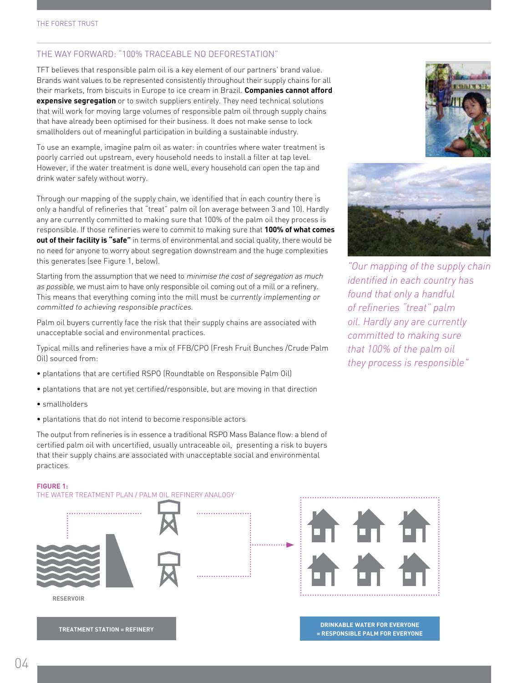# The way forward: "100% Traceable No Deforestation"

TFT believes that responsible palm oil is a key element of our partners' brand value. Brands want values to be represented consistently throughout their supply chains for all their markets, from biscuits in Europe to ice cream in Brazil. **Companies cannot afford expensive segregation** or to switch suppliers entirely. They need technical solutions that will work for moving large volumes of responsible palm oil through supply chains that have already been optimised for their business. It does not make sense to lock smallholders out of meaningful participation in building a sustainable industry.

To use an example, imagine palm oil as water: in countries where water treatment is poorly carried out upstream, every household needs to install a filter at tap level. However, if the water treatment is done well, every household can open the tap and drink water safely without worry.

Through our mapping of the supply chain, we identified that in each country there is only a handful of refineries that "treat" palm oil (on average between 3 and 10). Hardly any are currently committed to making sure that 100% of the palm oil they process is responsible. If those refineries were to commit to making sure that **100% of what comes out of their facility is "safe"** in terms of environmental and social quality, there would be no need for anyone to worry about segregation downstream and the huge complexities this generates (see Figure 1, below).

Starting from the assumption that we need to *minimise the cost of segregation as much* as possible, we must aim to have only responsible oil coming out of a mill or a refinery. This means that everything coming into the mill must be currently implementing or committed to achieving responsible practices.

Palm oil buyers currently face the risk that their supply chains are associated with unacceptable social and environmental practices.

Typical mills and refineries have a mix of FFB/CPO (Fresh Fruit Bunches /Crude Palm Oil) sourced from:

- plantations that are certified RSPO (Roundtable on Responsible Palm Oil)
- plantations that are not yet certified/responsible, but are moving in that direction
- smallholders
- plantations that do not intend to become responsible actors

The output from refineries is in essence a traditional RSPO Mass Balance flow: a blend of certified palm oil with uncertified, usually untraceable oil, presenting a risk to buyers that their supply chains are associated with unacceptable social and environmental practices.





*"Our mapping of the supply chain identified in each country has found that only a handful of refineries "treat" palm oil. Hardly any are currently committed to making sure that 100% of the palm oil they process is responsible"*

#### **Figure 1:**

The water treatment plan / palm oil refinery analogy



**TREATMENT STATION = REFINERY**



**DRINKABLE WATER FOR EVERYONE = RESPONSIBLE PALM FOR EVERYONE**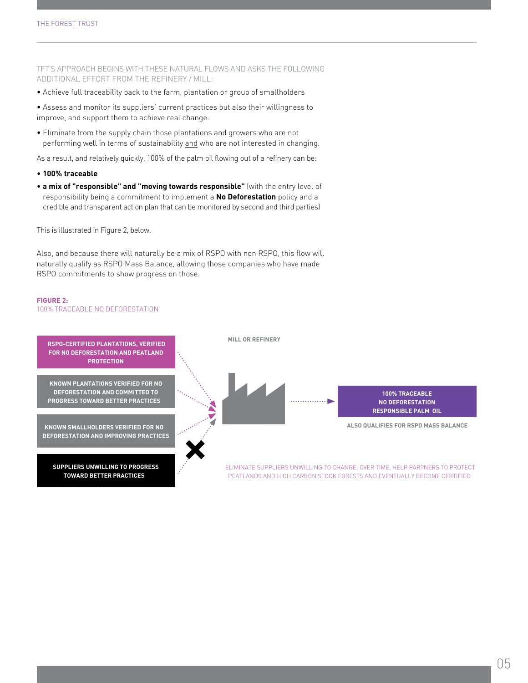TFT's approach begins with these natural flows and asks the following additional effort from the refinery / mill:

• Achieve full traceability back to the farm, plantation or group of smallholders

• Assess and monitor its suppliers' current practices but also their willingness to improve, and support them to achieve real change.

• Eliminate from the supply chain those plantations and growers who are not performing well in terms of sustainability and who are not interested in changing.

As a result, and relatively quickly, 100% of the palm oil flowing out of a refinery can be:

- **100% traceable**
- **a mix of "responsible" and "moving towards responsible"** (with the entry level of responsibility being a commitment to implement a **No Deforestation** policy and a credible and transparent action plan that can be monitored by second and third parties)

This is illustrated in Figure 2, below.

Also, and because there will naturally be a mix of RSPO with non RSPO, this flow will naturally qualify as RSPO Mass Balance, allowing those companies who have made RSPO commitments to show progress on those.

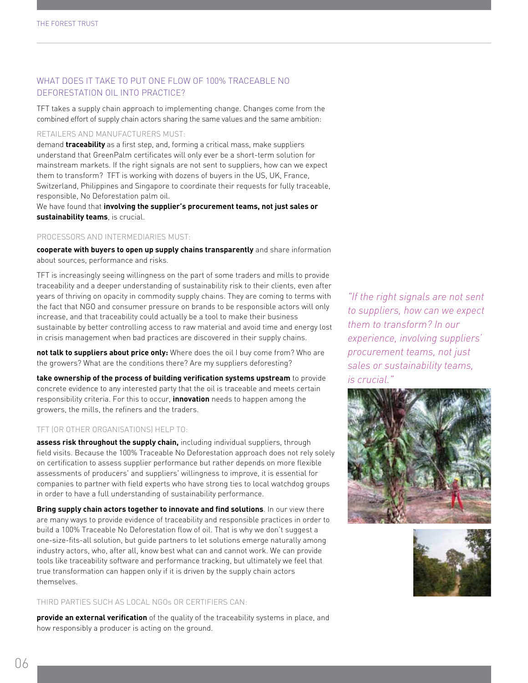# What does it take to put one flow of 100% traceable no deforestation oil into practice?

TFT takes a supply chain approach to implementing change. Changes come from the combined effort of supply chain actors sharing the same values and the same ambition:

# Retailers and manufacturers MUST:

demand **traceability** as a first step, and, forming a critical mass, make suppliers understand that GreenPalm certificates will only ever be a short-term solution for mainstream markets. If the right signals are not sent to suppliers, how can we expect them to transform? TFT is working with dozens of buyers in the US, UK, France, Switzerland, Philippines and Singapore to coordinate their requests for fully traceable, responsible, No Deforestation palm oil.

We have found that **involving the supplier's procurement teams, not just sales or sustainability teams**, is crucial.

# Processors and intermediaries must:

**cooperate with buyers to open up supply chains transparently** and share information about sources, performance and risks.

TFT is increasingly seeing willingness on the part of some traders and mills to provide traceability and a deeper understanding of sustainability risk to their clients, even after years of thriving on opacity in commodity supply chains. They are coming to terms with the fact that NGO and consumer pressure on brands to be responsible actors will only increase, and that traceability could actually be a tool to make their business sustainable by better controlling access to raw material and avoid time and energy lost in crisis management when bad practices are discovered in their supply chains.

**not talk to suppliers about price only:** Where does the oil I buy come from? Who are the growers? What are the conditions there? Are my suppliers deforesting?

**take ownership of the process of building verification systems upstream** to provide concrete evidence to any interested party that the oil is traceable and meets certain responsibility criteria. For this to occur, **innovation** needs to happen among the growers, the mills, the refiners and the traders.

# TFT (or other organisations) help to:

**assess risk throughout the supply chain,** including individual suppliers, through field visits. Because the 100% Traceable No Deforestation approach does not rely solely on certification to assess supplier performance but rather depends on more flexible assessments of producers' and suppliers' willingness to improve, it is essential for companies to partner with field experts who have strong ties to local watchdog groups in order to have a full understanding of sustainability performance.

**Bring supply chain actors together to innovate and find solutions**. In our view there are many ways to provide evidence of traceability and responsible practices in order to build a 100% Traceable No Deforestation flow of oil. That is why we don't suggest a one-size-fits-all solution, but guide partners to let solutions emerge naturally among industry actors, who, after all, know best what can and cannot work. We can provide tools like traceability software and performance tracking, but ultimately we feel that true transformation can happen only if it is driven by the supply chain actors themselves.

# third parties such as local ngos or certifiers can:

**provide an external verification** of the quality of the traceability systems in place, and how responsibly a producer is acting on the ground.

*"If the right signals are not sent to suppliers, how can we expect them to transform? In our experience, involving suppliers' procurement teams, not just sales or sustainability teams, is crucial."*



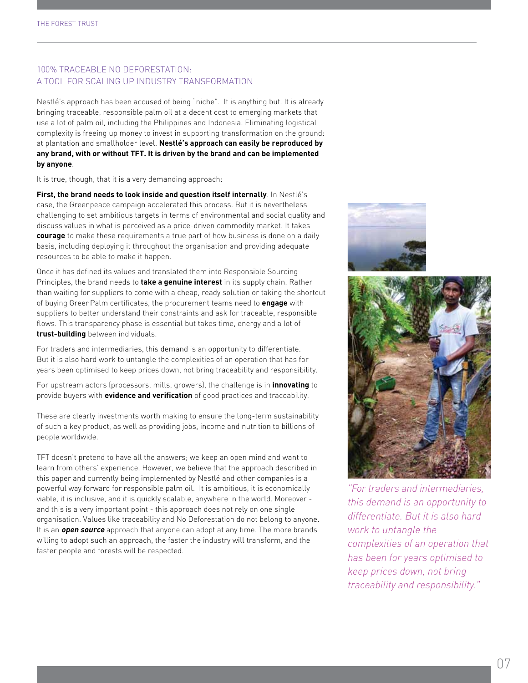# 100% Traceable No Deforestation: A tool for scaling up industry transformation

Nestlé's approach has been accused of being "niche". It is anything but. It is already bringing traceable, responsible palm oil at a decent cost to emerging markets that use a lot of palm oil, including the Philippines and Indonesia. Eliminating logistical complexity is freeing up money to invest in supporting transformation on the ground: at plantation and smallholder level. **Nestlé's approach can easily be reproduced by any brand, with or without TFT. It is driven by the brand and can be implemented by anyone**.

It is true, though, that it is a very demanding approach:

**First, the brand needs to look inside and question itself internally**. In Nestlé's case, the Greenpeace campaign accelerated this process. But it is nevertheless challenging to set ambitious targets in terms of environmental and social quality and discuss values in what is perceived as a price-driven commodity market. It takes **courage** to make these requirements a true part of how business is done on a daily basis, including deploying it throughout the organisation and providing adequate resources to be able to make it happen.

Once it has defined its values and translated them into Responsible Sourcing Principles, the brand needs to **take a genuine interest** in its supply chain. Rather than waiting for suppliers to come with a cheap, ready solution or taking the shortcut of buying GreenPalm certificates, the procurement teams need to **engage** with suppliers to better understand their constraints and ask for traceable, responsible flows. This transparency phase is essential but takes time, energy and a lot of **trust-building** between individuals.

For traders and intermediaries, this demand is an opportunity to differentiate. But it is also hard work to untangle the complexities of an operation that has for years been optimised to keep prices down, not bring traceability and responsibility.

For upstream actors (processors, mills, growers), the challenge is in **innovating** to provide buyers with **evidence and verification** of good practices and traceability.

These are clearly investments worth making to ensure the long-term sustainability of such a key product, as well as providing jobs, income and nutrition to billions of people worldwide.

TFT doesn't pretend to have all the answers; we keep an open mind and want to learn from others' experience. However, we believe that the approach described in this paper and currently being implemented by Nestlé and other companies is a powerful way forward for responsible palm oil. It is ambitious, it is economically viable, it is inclusive, and it is quickly scalable, anywhere in the world. Moreover and this is a very important point - this approach does not rely on one single organisation. Values like traceability and No Deforestation do not belong to anyone. It is an **open source** approach that anyone can adopt at any time. The more brands willing to adopt such an approach, the faster the industry will transform, and the faster people and forests will be respected.





*"For traders and intermediaries, this demand is an opportunity to differentiate. But it is also hard work to untangle the complexities of an operation that has been for years optimised to keep prices down, not bring traceability and responsibility."*